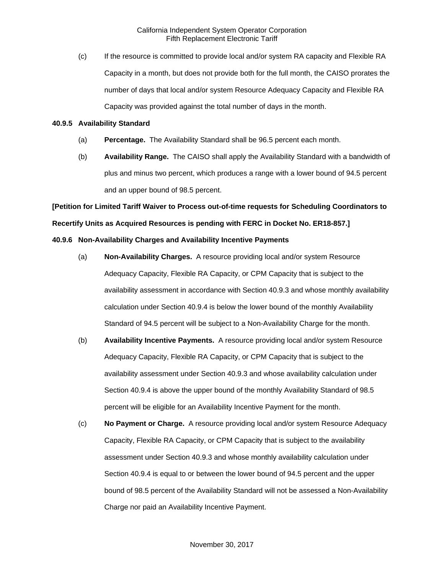(c) If the resource is committed to provide local and/or system RA capacity and Flexible RA Capacity in a month, but does not provide both for the full month, the CAISO prorates the number of days that local and/or system Resource Adequacy Capacity and Flexible RA Capacity was provided against the total number of days in the month.

### **40.9.5 Availability Standard**

- (a) **Percentage.** The Availability Standard shall be 96.5 percent each month.
- (b) **Availability Range.** The CAISO shall apply the Availability Standard with a bandwidth of plus and minus two percent, which produces a range with a lower bound of 94.5 percent and an upper bound of 98.5 percent.

**[Petition for Limited Tariff Waiver to Process out-of-time requests for Scheduling Coordinators to Recertify Units as Acquired Resources is pending with FERC in Docket No. ER18-857.]**

# **40.9.6 Non-Availability Charges and Availability Incentive Payments**

- (a) **Non-Availability Charges.** A resource providing local and/or system Resource Adequacy Capacity, Flexible RA Capacity, or CPM Capacity that is subject to the availability assessment in accordance with Section 40.9.3 and whose monthly availability calculation under Section 40.9.4 is below the lower bound of the monthly Availability Standard of 94.5 percent will be subject to a Non-Availability Charge for the month.
- (b) **Availability Incentive Payments.** A resource providing local and/or system Resource Adequacy Capacity, Flexible RA Capacity, or CPM Capacity that is subject to the availability assessment under Section 40.9.3 and whose availability calculation under Section 40.9.4 is above the upper bound of the monthly Availability Standard of 98.5 percent will be eligible for an Availability Incentive Payment for the month.
- (c) **No Payment or Charge.** A resource providing local and/or system Resource Adequacy Capacity, Flexible RA Capacity, or CPM Capacity that is subject to the availability assessment under Section 40.9.3 and whose monthly availability calculation under Section 40.9.4 is equal to or between the lower bound of 94.5 percent and the upper bound of 98.5 percent of the Availability Standard will not be assessed a Non-Availability Charge nor paid an Availability Incentive Payment.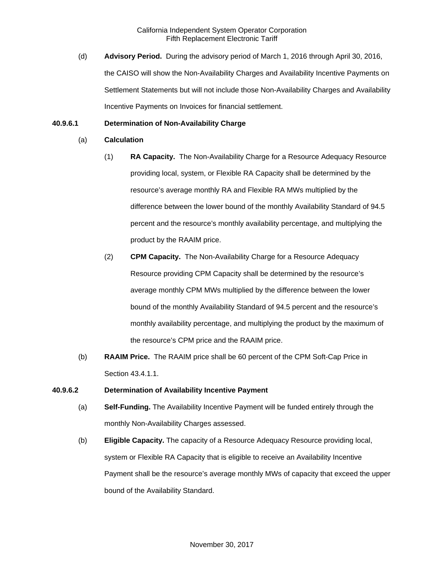(d) **Advisory Period.** During the advisory period of March 1, 2016 through April 30, 2016, the CAISO will show the Non-Availability Charges and Availability Incentive Payments on Settlement Statements but will not include those Non-Availability Charges and Availability Incentive Payments on Invoices for financial settlement.

## **40.9.6.1 Determination of Non-Availability Charge**

- (a) **Calculation**
	- (1) **RA Capacity.** The Non-Availability Charge for a Resource Adequacy Resource providing local, system, or Flexible RA Capacity shall be determined by the resource's average monthly RA and Flexible RA MWs multiplied by the difference between the lower bound of the monthly Availability Standard of 94.5 percent and the resource's monthly availability percentage, and multiplying the product by the RAAIM price.
	- (2) **CPM Capacity.** The Non-Availability Charge for a Resource Adequacy Resource providing CPM Capacity shall be determined by the resource's average monthly CPM MWs multiplied by the difference between the lower bound of the monthly Availability Standard of 94.5 percent and the resource's monthly availability percentage, and multiplying the product by the maximum of the resource's CPM price and the RAAIM price.
- (b) **RAAIM Price.** The RAAIM price shall be 60 percent of the CPM Soft-Cap Price in Section 43.4.1.1.

### **40.9.6.2 Determination of Availability Incentive Payment**

- (a) **Self-Funding.** The Availability Incentive Payment will be funded entirely through the monthly Non-Availability Charges assessed.
- (b) **Eligible Capacity.** The capacity of a Resource Adequacy Resource providing local, system or Flexible RA Capacity that is eligible to receive an Availability Incentive Payment shall be the resource's average monthly MWs of capacity that exceed the upper bound of the Availability Standard.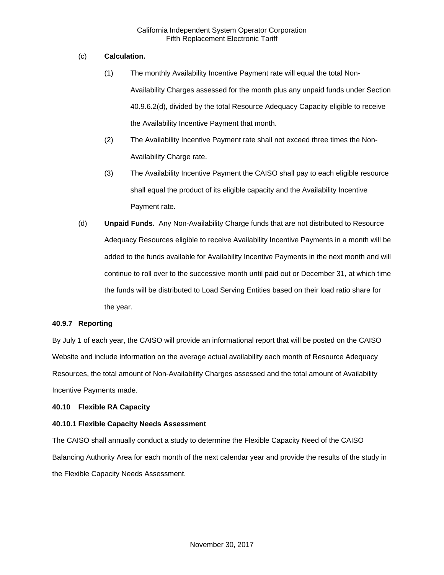## (c) **Calculation.**

- (1) The monthly Availability Incentive Payment rate will equal the total Non-Availability Charges assessed for the month plus any unpaid funds under Section 40.9.6.2(d), divided by the total Resource Adequacy Capacity eligible to receive the Availability Incentive Payment that month.
- (2) The Availability Incentive Payment rate shall not exceed three times the Non-Availability Charge rate.
- (3) The Availability Incentive Payment the CAISO shall pay to each eligible resource shall equal the product of its eligible capacity and the Availability Incentive Payment rate.
- (d) **Unpaid Funds.** Any Non-Availability Charge funds that are not distributed to Resource Adequacy Resources eligible to receive Availability Incentive Payments in a month will be added to the funds available for Availability Incentive Payments in the next month and will continue to roll over to the successive month until paid out or December 31, at which time the funds will be distributed to Load Serving Entities based on their load ratio share for the year.

### **40.9.7 Reporting**

By July 1 of each year, the CAISO will provide an informational report that will be posted on the CAISO Website and include information on the average actual availability each month of Resource Adequacy Resources, the total amount of Non-Availability Charges assessed and the total amount of Availability Incentive Payments made.

### **40.10 Flexible RA Capacity**

### **40.10.1 Flexible Capacity Needs Assessment**

The CAISO shall annually conduct a study to determine the Flexible Capacity Need of the CAISO Balancing Authority Area for each month of the next calendar year and provide the results of the study in the Flexible Capacity Needs Assessment.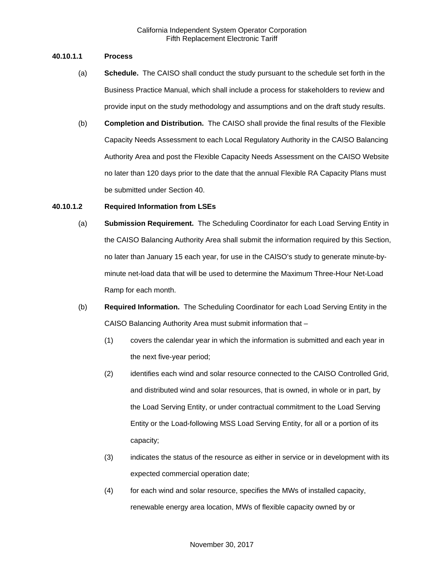## **40.10.1.1 Process**

- (a) **Schedule.** The CAISO shall conduct the study pursuant to the schedule set forth in the Business Practice Manual, which shall include a process for stakeholders to review and provide input on the study methodology and assumptions and on the draft study results.
- (b) **Completion and Distribution.** The CAISO shall provide the final results of the Flexible Capacity Needs Assessment to each Local Regulatory Authority in the CAISO Balancing Authority Area and post the Flexible Capacity Needs Assessment on the CAISO Website no later than 120 days prior to the date that the annual Flexible RA Capacity Plans must be submitted under Section 40.

## **40.10.1.2 Required Information from LSEs**

- (a) **Submission Requirement.** The Scheduling Coordinator for each Load Serving Entity in the CAISO Balancing Authority Area shall submit the information required by this Section, no later than January 15 each year, for use in the CAISO's study to generate minute-byminute net-load data that will be used to determine the Maximum Three-Hour Net-Load Ramp for each month.
- (b) **Required Information.** The Scheduling Coordinator for each Load Serving Entity in the CAISO Balancing Authority Area must submit information that –
	- (1) covers the calendar year in which the information is submitted and each year in the next five-year period;
	- (2) identifies each wind and solar resource connected to the CAISO Controlled Grid, and distributed wind and solar resources, that is owned, in whole or in part, by the Load Serving Entity, or under contractual commitment to the Load Serving Entity or the Load-following MSS Load Serving Entity, for all or a portion of its capacity;
	- (3) indicates the status of the resource as either in service or in development with its expected commercial operation date;
	- (4) for each wind and solar resource, specifies the MWs of installed capacity, renewable energy area location, MWs of flexible capacity owned by or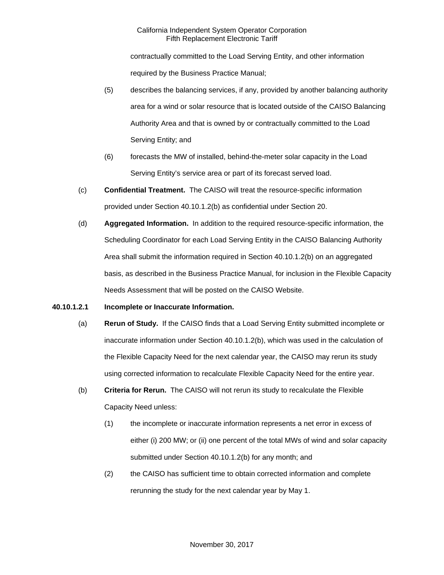contractually committed to the Load Serving Entity, and other information required by the Business Practice Manual;

- (5) describes the balancing services, if any, provided by another balancing authority area for a wind or solar resource that is located outside of the CAISO Balancing Authority Area and that is owned by or contractually committed to the Load Serving Entity; and
- (6) forecasts the MW of installed, behind-the-meter solar capacity in the Load Serving Entity's service area or part of its forecast served load.
- (c) **Confidential Treatment.** The CAISO will treat the resource-specific information provided under Section 40.10.1.2(b) as confidential under Section 20.
- (d) **Aggregated Information.** In addition to the required resource-specific information, the Scheduling Coordinator for each Load Serving Entity in the CAISO Balancing Authority Area shall submit the information required in Section 40.10.1.2(b) on an aggregated basis, as described in the Business Practice Manual, for inclusion in the Flexible Capacity Needs Assessment that will be posted on the CAISO Website.

### **40.10.1.2.1 Incomplete or Inaccurate Information.**

- (a) **Rerun of Study.** If the CAISO finds that a Load Serving Entity submitted incomplete or inaccurate information under Section 40.10.1.2(b), which was used in the calculation of the Flexible Capacity Need for the next calendar year, the CAISO may rerun its study using corrected information to recalculate Flexible Capacity Need for the entire year.
- (b) **Criteria for Rerun.** The CAISO will not rerun its study to recalculate the Flexible Capacity Need unless:
	- (1) the incomplete or inaccurate information represents a net error in excess of either (i) 200 MW; or (ii) one percent of the total MWs of wind and solar capacity submitted under Section 40.10.1.2(b) for any month; and
	- (2) the CAISO has sufficient time to obtain corrected information and complete rerunning the study for the next calendar year by May 1.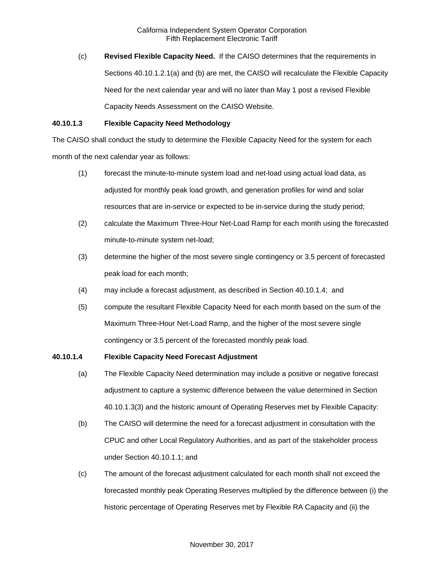(c) **Revised Flexible Capacity Need.** If the CAISO determines that the requirements in Sections 40.10.1.2.1(a) and (b) are met, the CAISO will recalculate the Flexible Capacity Need for the next calendar year and will no later than May 1 post a revised Flexible Capacity Needs Assessment on the CAISO Website.

### **40.10.1.3 Flexible Capacity Need Methodology**

The CAISO shall conduct the study to determine the Flexible Capacity Need for the system for each month of the next calendar year as follows:

- (1) forecast the minute-to-minute system load and net-load using actual load data, as adjusted for monthly peak load growth, and generation profiles for wind and solar resources that are in-service or expected to be in-service during the study period;
- (2) calculate the Maximum Three-Hour Net-Load Ramp for each month using the forecasted minute-to-minute system net-load;
- (3) determine the higher of the most severe single contingency or 3.5 percent of forecasted peak load for each month;
- (4) may include a forecast adjustment, as described in Section 40.10.1.4; and
- (5) compute the resultant Flexible Capacity Need for each month based on the sum of the Maximum Three-Hour Net-Load Ramp, and the higher of the most severe single contingency or 3.5 percent of the forecasted monthly peak load.

### **40.10.1.4 Flexible Capacity Need Forecast Adjustment**

- (a) The Flexible Capacity Need determination may include a positive or negative forecast adjustment to capture a systemic difference between the value determined in Section 40.10.1.3(3) and the historic amount of Operating Reserves met by Flexible Capacity:
- (b) The CAISO will determine the need for a forecast adjustment in consultation with the CPUC and other Local Regulatory Authorities, and as part of the stakeholder process under Section 40.10.1.1; and
- (c) The amount of the forecast adjustment calculated for each month shall not exceed the forecasted monthly peak Operating Reserves multiplied by the difference between (i) the historic percentage of Operating Reserves met by Flexible RA Capacity and (ii) the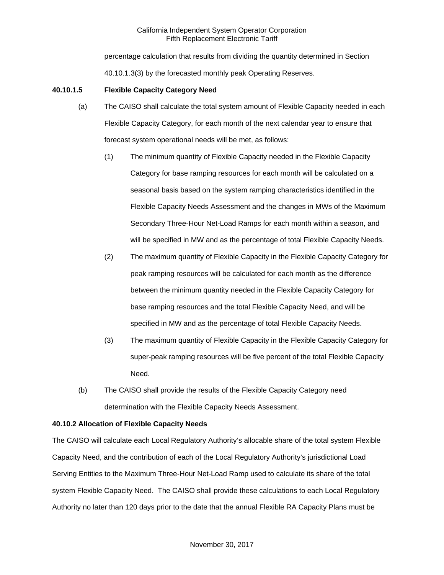percentage calculation that results from dividing the quantity determined in Section 40.10.1.3(3) by the forecasted monthly peak Operating Reserves.

## **40.10.1.5 Flexible Capacity Category Need**

- (a) The CAISO shall calculate the total system amount of Flexible Capacity needed in each Flexible Capacity Category, for each month of the next calendar year to ensure that forecast system operational needs will be met, as follows:
	- (1) The minimum quantity of Flexible Capacity needed in the Flexible Capacity Category for base ramping resources for each month will be calculated on a seasonal basis based on the system ramping characteristics identified in the Flexible Capacity Needs Assessment and the changes in MWs of the Maximum Secondary Three-Hour Net-Load Ramps for each month within a season, and will be specified in MW and as the percentage of total Flexible Capacity Needs.
	- (2) The maximum quantity of Flexible Capacity in the Flexible Capacity Category for peak ramping resources will be calculated for each month as the difference between the minimum quantity needed in the Flexible Capacity Category for base ramping resources and the total Flexible Capacity Need, and will be specified in MW and as the percentage of total Flexible Capacity Needs.
	- (3) The maximum quantity of Flexible Capacity in the Flexible Capacity Category for super-peak ramping resources will be five percent of the total Flexible Capacity Need.
- (b) The CAISO shall provide the results of the Flexible Capacity Category need determination with the Flexible Capacity Needs Assessment.

### **40.10.2 Allocation of Flexible Capacity Needs**

The CAISO will calculate each Local Regulatory Authority's allocable share of the total system Flexible Capacity Need, and the contribution of each of the Local Regulatory Authority's jurisdictional Load Serving Entities to the Maximum Three-Hour Net-Load Ramp used to calculate its share of the total system Flexible Capacity Need. The CAISO shall provide these calculations to each Local Regulatory Authority no later than 120 days prior to the date that the annual Flexible RA Capacity Plans must be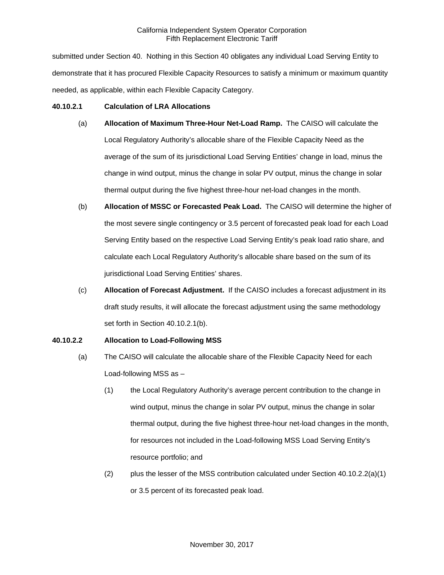submitted under Section 40. Nothing in this Section 40 obligates any individual Load Serving Entity to demonstrate that it has procured Flexible Capacity Resources to satisfy a minimum or maximum quantity needed, as applicable, within each Flexible Capacity Category.

### **40.10.2.1 Calculation of LRA Allocations**

- (a) **Allocation of Maximum Three-Hour Net-Load Ramp.** The CAISO will calculate the Local Regulatory Authority's allocable share of the Flexible Capacity Need as the average of the sum of its jurisdictional Load Serving Entities' change in load, minus the change in wind output, minus the change in solar PV output, minus the change in solar thermal output during the five highest three-hour net-load changes in the month.
- (b) **Allocation of MSSC or Forecasted Peak Load.** The CAISO will determine the higher of the most severe single contingency or 3.5 percent of forecasted peak load for each Load Serving Entity based on the respective Load Serving Entity's peak load ratio share, and calculate each Local Regulatory Authority's allocable share based on the sum of its jurisdictional Load Serving Entities' shares.
- (c) **Allocation of Forecast Adjustment.** If the CAISO includes a forecast adjustment in its draft study results, it will allocate the forecast adjustment using the same methodology set forth in Section 40.10.2.1(b).

# **40.10.2.2 Allocation to Load-Following MSS**

- (a) The CAISO will calculate the allocable share of the Flexible Capacity Need for each Load-following MSS as –
	- (1) the Local Regulatory Authority's average percent contribution to the change in wind output, minus the change in solar PV output, minus the change in solar thermal output, during the five highest three-hour net-load changes in the month, for resources not included in the Load-following MSS Load Serving Entity's resource portfolio; and
	- (2) plus the lesser of the MSS contribution calculated under Section 40.10.2.2(a)(1) or 3.5 percent of its forecasted peak load.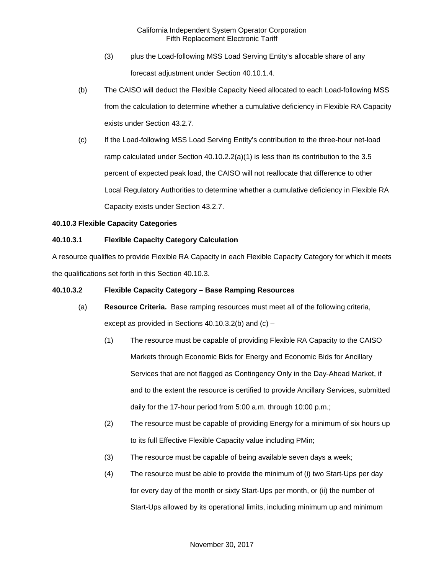- (3) plus the Load-following MSS Load Serving Entity's allocable share of any forecast adjustment under Section 40.10.1.4.
- (b) The CAISO will deduct the Flexible Capacity Need allocated to each Load-following MSS from the calculation to determine whether a cumulative deficiency in Flexible RA Capacity exists under Section 43.2.7.
- (c) If the Load-following MSS Load Serving Entity's contribution to the three-hour net-load ramp calculated under Section 40.10.2.2(a)(1) is less than its contribution to the 3.5 percent of expected peak load, the CAISO will not reallocate that difference to other Local Regulatory Authorities to determine whether a cumulative deficiency in Flexible RA Capacity exists under Section 43.2.7.

# **40.10.3 Flexible Capacity Categories**

# **40.10.3.1 Flexible Capacity Category Calculation**

A resource qualifies to provide Flexible RA Capacity in each Flexible Capacity Category for which it meets the qualifications set forth in this Section 40.10.3.

# **40.10.3.2 Flexible Capacity Category – Base Ramping Resources**

- (a) **Resource Criteria.** Base ramping resources must meet all of the following criteria, except as provided in Sections  $40.10.3.2(b)$  and  $(c)$  –
	- (1) The resource must be capable of providing Flexible RA Capacity to the CAISO Markets through Economic Bids for Energy and Economic Bids for Ancillary Services that are not flagged as Contingency Only in the Day-Ahead Market, if and to the extent the resource is certified to provide Ancillary Services, submitted daily for the 17-hour period from 5:00 a.m. through 10:00 p.m.;
	- (2) The resource must be capable of providing Energy for a minimum of six hours up to its full Effective Flexible Capacity value including PMin;
	- (3) The resource must be capable of being available seven days a week;
	- (4) The resource must be able to provide the minimum of (i) two Start-Ups per day for every day of the month or sixty Start-Ups per month, or (ii) the number of Start-Ups allowed by its operational limits, including minimum up and minimum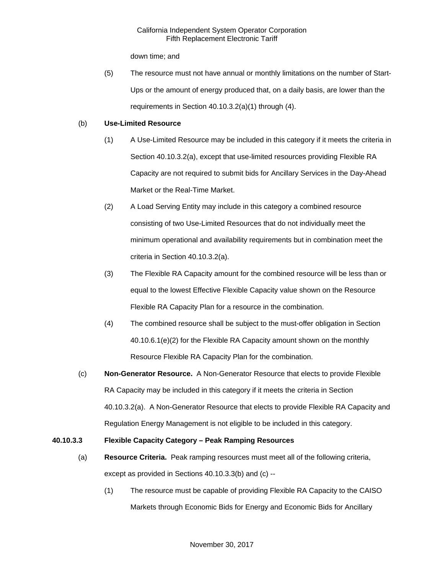down time; and

(5) The resource must not have annual or monthly limitations on the number of Start-Ups or the amount of energy produced that, on a daily basis, are lower than the requirements in Section 40.10.3.2(a)(1) through (4).

## (b) **Use-Limited Resource**

- (1) A Use-Limited Resource may be included in this category if it meets the criteria in Section 40.10.3.2(a), except that use-limited resources providing Flexible RA Capacity are not required to submit bids for Ancillary Services in the Day-Ahead Market or the Real-Time Market.
- (2) A Load Serving Entity may include in this category a combined resource consisting of two Use-Limited Resources that do not individually meet the minimum operational and availability requirements but in combination meet the criteria in Section 40.10.3.2(a).
- (3) The Flexible RA Capacity amount for the combined resource will be less than or equal to the lowest Effective Flexible Capacity value shown on the Resource Flexible RA Capacity Plan for a resource in the combination.
- (4) The combined resource shall be subject to the must-offer obligation in Section 40.10.6.1(e)(2) for the Flexible RA Capacity amount shown on the monthly Resource Flexible RA Capacity Plan for the combination.
- (c) **Non-Generator Resource.** A Non-Generator Resource that elects to provide Flexible RA Capacity may be included in this category if it meets the criteria in Section 40.10.3.2(a). A Non-Generator Resource that elects to provide Flexible RA Capacity and Regulation Energy Management is not eligible to be included in this category.

# **40.10.3.3 Flexible Capacity Category – Peak Ramping Resources**

- (a) **Resource Criteria.** Peak ramping resources must meet all of the following criteria, except as provided in Sections 40.10.3.3(b) and (c) --
	- (1) The resource must be capable of providing Flexible RA Capacity to the CAISO Markets through Economic Bids for Energy and Economic Bids for Ancillary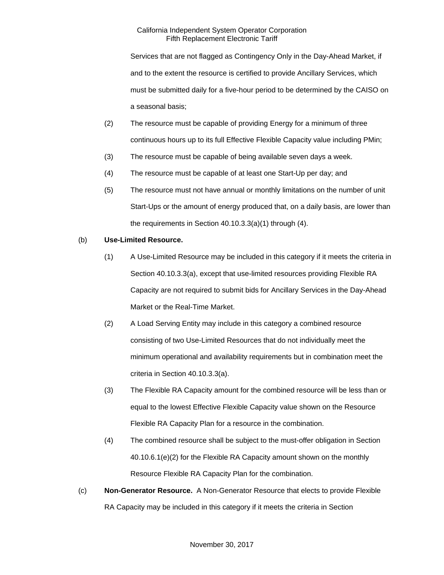Services that are not flagged as Contingency Only in the Day-Ahead Market, if and to the extent the resource is certified to provide Ancillary Services, which must be submitted daily for a five-hour period to be determined by the CAISO on a seasonal basis;

- (2) The resource must be capable of providing Energy for a minimum of three continuous hours up to its full Effective Flexible Capacity value including PMin;
- (3) The resource must be capable of being available seven days a week.
- (4) The resource must be capable of at least one Start-Up per day; and
- (5) The resource must not have annual or monthly limitations on the number of unit Start-Ups or the amount of energy produced that, on a daily basis, are lower than the requirements in Section 40.10.3.3(a)(1) through (4).

## (b) **Use-Limited Resource.**

- (1) A Use-Limited Resource may be included in this category if it meets the criteria in Section 40.10.3.3(a), except that use-limited resources providing Flexible RA Capacity are not required to submit bids for Ancillary Services in the Day-Ahead Market or the Real-Time Market.
- (2) A Load Serving Entity may include in this category a combined resource consisting of two Use-Limited Resources that do not individually meet the minimum operational and availability requirements but in combination meet the criteria in Section 40.10.3.3(a).
- (3) The Flexible RA Capacity amount for the combined resource will be less than or equal to the lowest Effective Flexible Capacity value shown on the Resource Flexible RA Capacity Plan for a resource in the combination.
- (4) The combined resource shall be subject to the must-offer obligation in Section 40.10.6.1(e)(2) for the Flexible RA Capacity amount shown on the monthly Resource Flexible RA Capacity Plan for the combination.
- (c) **Non-Generator Resource.** A Non-Generator Resource that elects to provide Flexible RA Capacity may be included in this category if it meets the criteria in Section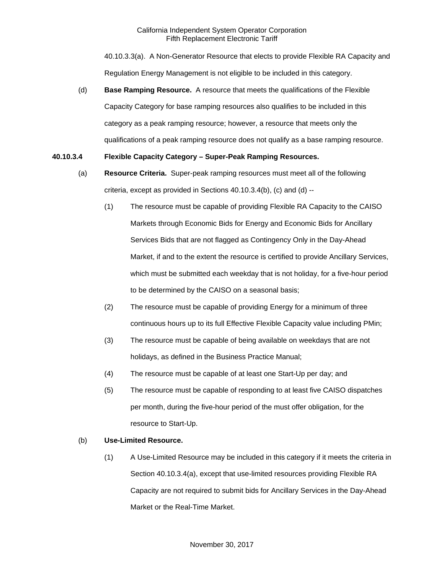40.10.3.3(a). A Non-Generator Resource that elects to provide Flexible RA Capacity and Regulation Energy Management is not eligible to be included in this category.

(d) **Base Ramping Resource.** A resource that meets the qualifications of the Flexible Capacity Category for base ramping resources also qualifies to be included in this category as a peak ramping resource; however, a resource that meets only the qualifications of a peak ramping resource does not qualify as a base ramping resource.

# **40.10.3.4 Flexible Capacity Category – Super-Peak Ramping Resources.**

- (a) **Resource Criteria.** Super-peak ramping resources must meet all of the following criteria, except as provided in Sections 40.10.3.4(b), (c) and (d) --
	- (1) The resource must be capable of providing Flexible RA Capacity to the CAISO Markets through Economic Bids for Energy and Economic Bids for Ancillary Services Bids that are not flagged as Contingency Only in the Day-Ahead Market, if and to the extent the resource is certified to provide Ancillary Services, which must be submitted each weekday that is not holiday, for a five-hour period to be determined by the CAISO on a seasonal basis;
	- (2) The resource must be capable of providing Energy for a minimum of three continuous hours up to its full Effective Flexible Capacity value including PMin;
	- (3) The resource must be capable of being available on weekdays that are not holidays, as defined in the Business Practice Manual;
	- (4) The resource must be capable of at least one Start-Up per day; and
	- (5) The resource must be capable of responding to at least five CAISO dispatches per month, during the five-hour period of the must offer obligation, for the resource to Start-Up.

# (b) **Use-Limited Resource.**

(1) A Use-Limited Resource may be included in this category if it meets the criteria in Section 40.10.3.4(a), except that use-limited resources providing Flexible RA Capacity are not required to submit bids for Ancillary Services in the Day-Ahead Market or the Real-Time Market.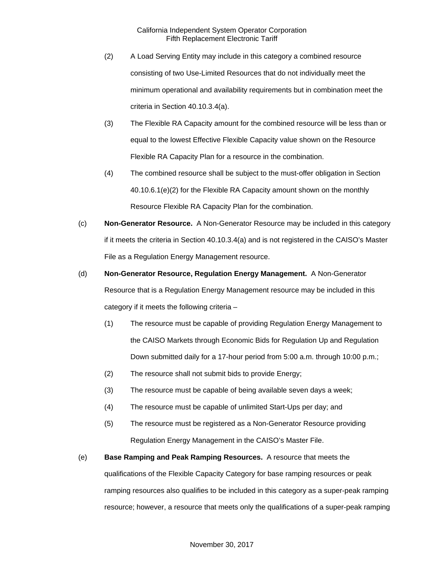- (2) A Load Serving Entity may include in this category a combined resource consisting of two Use-Limited Resources that do not individually meet the minimum operational and availability requirements but in combination meet the criteria in Section 40.10.3.4(a).
- (3) The Flexible RA Capacity amount for the combined resource will be less than or equal to the lowest Effective Flexible Capacity value shown on the Resource Flexible RA Capacity Plan for a resource in the combination.
- (4) The combined resource shall be subject to the must-offer obligation in Section 40.10.6.1(e)(2) for the Flexible RA Capacity amount shown on the monthly Resource Flexible RA Capacity Plan for the combination.
- (c) **Non-Generator Resource.** A Non-Generator Resource may be included in this category if it meets the criteria in Section 40.10.3.4(a) and is not registered in the CAISO's Master File as a Regulation Energy Management resource.
- (d) **Non-Generator Resource, Regulation Energy Management.** A Non-Generator Resource that is a Regulation Energy Management resource may be included in this category if it meets the following criteria –
	- (1) The resource must be capable of providing Regulation Energy Management to the CAISO Markets through Economic Bids for Regulation Up and Regulation Down submitted daily for a 17-hour period from 5:00 a.m. through 10:00 p.m.;
	- (2) The resource shall not submit bids to provide Energy;
	- (3) The resource must be capable of being available seven days a week;
	- (4) The resource must be capable of unlimited Start-Ups per day; and
	- (5) The resource must be registered as a Non-Generator Resource providing Regulation Energy Management in the CAISO's Master File.
- (e) **Base Ramping and Peak Ramping Resources.** A resource that meets the qualifications of the Flexible Capacity Category for base ramping resources or peak ramping resources also qualifies to be included in this category as a super-peak ramping resource; however, a resource that meets only the qualifications of a super-peak ramping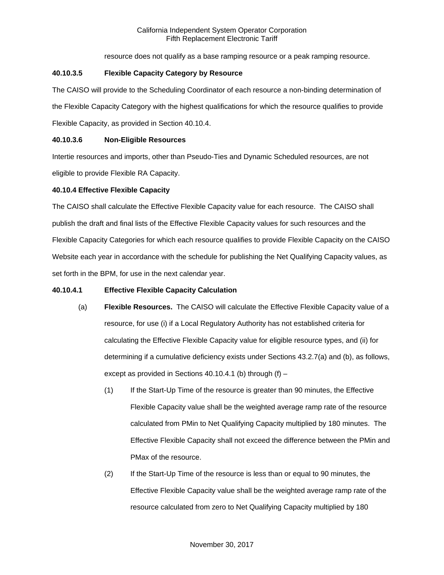resource does not qualify as a base ramping resource or a peak ramping resource.

## **40.10.3.5 Flexible Capacity Category by Resource**

The CAISO will provide to the Scheduling Coordinator of each resource a non-binding determination of the Flexible Capacity Category with the highest qualifications for which the resource qualifies to provide Flexible Capacity, as provided in Section 40.10.4.

## **40.10.3.6 Non-Eligible Resources**

Intertie resources and imports, other than Pseudo-Ties and Dynamic Scheduled resources, are not eligible to provide Flexible RA Capacity.

## **40.10.4 Effective Flexible Capacity**

The CAISO shall calculate the Effective Flexible Capacity value for each resource. The CAISO shall publish the draft and final lists of the Effective Flexible Capacity values for such resources and the Flexible Capacity Categories for which each resource qualifies to provide Flexible Capacity on the CAISO Website each year in accordance with the schedule for publishing the Net Qualifying Capacity values, as set forth in the BPM, for use in the next calendar year.

### **40.10.4.1 Effective Flexible Capacity Calculation**

- (a) **Flexible Resources.** The CAISO will calculate the Effective Flexible Capacity value of a resource, for use (i) if a Local Regulatory Authority has not established criteria for calculating the Effective Flexible Capacity value for eligible resource types, and (ii) for determining if a cumulative deficiency exists under Sections 43.2.7(a) and (b), as follows, except as provided in Sections 40.10.4.1 (b) through  $(f)$  –
	- (1) If the Start-Up Time of the resource is greater than 90 minutes, the Effective Flexible Capacity value shall be the weighted average ramp rate of the resource calculated from PMin to Net Qualifying Capacity multiplied by 180 minutes. The Effective Flexible Capacity shall not exceed the difference between the PMin and PMax of the resource.
	- (2) If the Start-Up Time of the resource is less than or equal to 90 minutes, the Effective Flexible Capacity value shall be the weighted average ramp rate of the resource calculated from zero to Net Qualifying Capacity multiplied by 180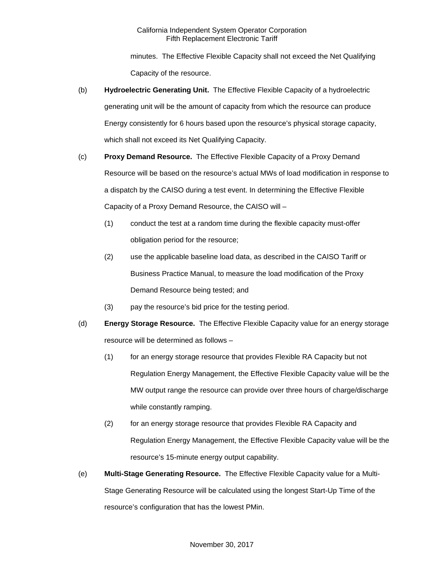minutes. The Effective Flexible Capacity shall not exceed the Net Qualifying Capacity of the resource.

- (b) **Hydroelectric Generating Unit.** The Effective Flexible Capacity of a hydroelectric generating unit will be the amount of capacity from which the resource can produce Energy consistently for 6 hours based upon the resource's physical storage capacity, which shall not exceed its Net Qualifying Capacity.
- (c) **Proxy Demand Resource.** The Effective Flexible Capacity of a Proxy Demand Resource will be based on the resource's actual MWs of load modification in response to a dispatch by the CAISO during a test event. In determining the Effective Flexible Capacity of a Proxy Demand Resource, the CAISO will –
	- (1) conduct the test at a random time during the flexible capacity must-offer obligation period for the resource;
	- (2) use the applicable baseline load data, as described in the CAISO Tariff or Business Practice Manual, to measure the load modification of the Proxy Demand Resource being tested; and
	- (3) pay the resource's bid price for the testing period.
- (d) **Energy Storage Resource.** The Effective Flexible Capacity value for an energy storage resource will be determined as follows –
	- (1) for an energy storage resource that provides Flexible RA Capacity but not Regulation Energy Management, the Effective Flexible Capacity value will be the MW output range the resource can provide over three hours of charge/discharge while constantly ramping.
	- (2) for an energy storage resource that provides Flexible RA Capacity and Regulation Energy Management, the Effective Flexible Capacity value will be the resource's 15-minute energy output capability.
- (e) **Multi-Stage Generating Resource.** The Effective Flexible Capacity value for a Multi-Stage Generating Resource will be calculated using the longest Start-Up Time of the resource's configuration that has the lowest PMin.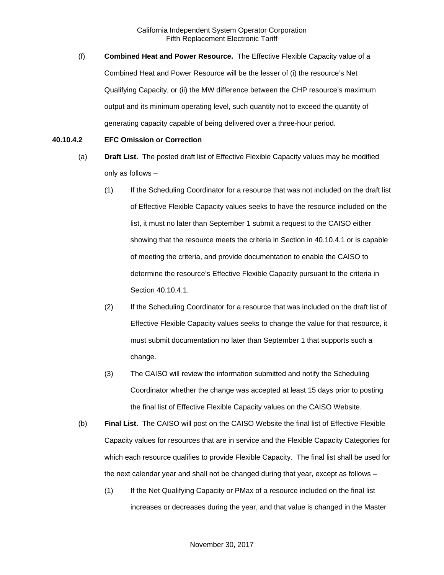(f) **Combined Heat and Power Resource.** The Effective Flexible Capacity value of a Combined Heat and Power Resource will be the lesser of (i) the resource's Net Qualifying Capacity, or (ii) the MW difference between the CHP resource's maximum output and its minimum operating level, such quantity not to exceed the quantity of generating capacity capable of being delivered over a three-hour period.

#### **40.10.4.2 EFC Omission or Correction**

- (a) **Draft List.** The posted draft list of Effective Flexible Capacity values may be modified only as follows –
	- (1) If the Scheduling Coordinator for a resource that was not included on the draft list of Effective Flexible Capacity values seeks to have the resource included on the list, it must no later than September 1 submit a request to the CAISO either showing that the resource meets the criteria in Section in 40.10.4.1 or is capable of meeting the criteria, and provide documentation to enable the CAISO to determine the resource's Effective Flexible Capacity pursuant to the criteria in Section 40.10.4.1.
	- (2) If the Scheduling Coordinator for a resource that was included on the draft list of Effective Flexible Capacity values seeks to change the value for that resource, it must submit documentation no later than September 1 that supports such a change.
	- (3) The CAISO will review the information submitted and notify the Scheduling Coordinator whether the change was accepted at least 15 days prior to posting the final list of Effective Flexible Capacity values on the CAISO Website.
- (b) **Final List.** The CAISO will post on the CAISO Website the final list of Effective Flexible Capacity values for resources that are in service and the Flexible Capacity Categories for which each resource qualifies to provide Flexible Capacity. The final list shall be used for the next calendar year and shall not be changed during that year, except as follows –
	- (1) If the Net Qualifying Capacity or PMax of a resource included on the final list increases or decreases during the year, and that value is changed in the Master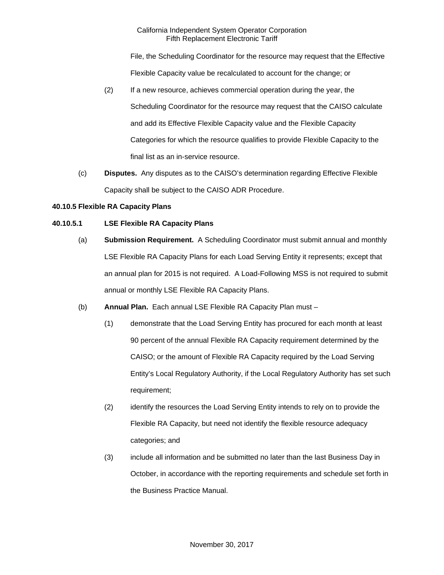File, the Scheduling Coordinator for the resource may request that the Effective Flexible Capacity value be recalculated to account for the change; or

- (2) If a new resource, achieves commercial operation during the year, the Scheduling Coordinator for the resource may request that the CAISO calculate and add its Effective Flexible Capacity value and the Flexible Capacity Categories for which the resource qualifies to provide Flexible Capacity to the final list as an in-service resource.
- (c) **Disputes.** Any disputes as to the CAISO's determination regarding Effective Flexible Capacity shall be subject to the CAISO ADR Procedure.

## **40.10.5 Flexible RA Capacity Plans**

# **40.10.5.1 LSE Flexible RA Capacity Plans**

- (a) **Submission Requirement.** A Scheduling Coordinator must submit annual and monthly LSE Flexible RA Capacity Plans for each Load Serving Entity it represents; except that an annual plan for 2015 is not required. A Load-Following MSS is not required to submit annual or monthly LSE Flexible RA Capacity Plans.
- (b) **Annual Plan.** Each annual LSE Flexible RA Capacity Plan must
	- (1) demonstrate that the Load Serving Entity has procured for each month at least 90 percent of the annual Flexible RA Capacity requirement determined by the CAISO; or the amount of Flexible RA Capacity required by the Load Serving Entity's Local Regulatory Authority, if the Local Regulatory Authority has set such requirement;
	- (2) identify the resources the Load Serving Entity intends to rely on to provide the Flexible RA Capacity, but need not identify the flexible resource adequacy categories; and
	- (3) include all information and be submitted no later than the last Business Day in October, in accordance with the reporting requirements and schedule set forth in the Business Practice Manual.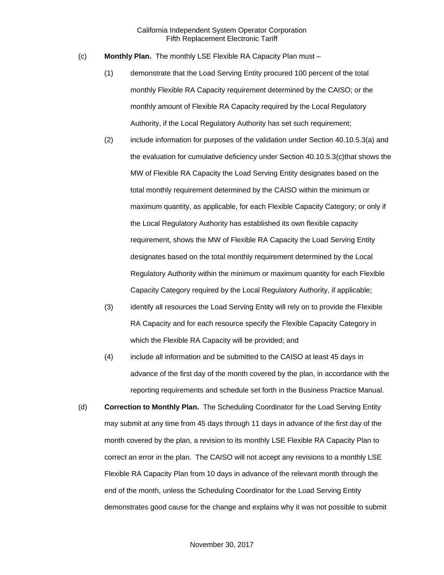- (c) **Monthly Plan.** The monthly LSE Flexible RA Capacity Plan must
	- (1) demonstrate that the Load Serving Entity procured 100 percent of the total monthly Flexible RA Capacity requirement determined by the CAISO; or the monthly amount of Flexible RA Capacity required by the Local Regulatory Authority, if the Local Regulatory Authority has set such requirement;
	- (2) include information for purposes of the validation under Section 40.10.5.3(a) and the evaluation for cumulative deficiency under Section 40.10.5.3(c)that shows the MW of Flexible RA Capacity the Load Serving Entity designates based on the total monthly requirement determined by the CAISO within the minimum or maximum quantity, as applicable, for each Flexible Capacity Category; or only if the Local Regulatory Authority has established its own flexible capacity requirement, shows the MW of Flexible RA Capacity the Load Serving Entity designates based on the total monthly requirement determined by the Local Regulatory Authority within the minimum or maximum quantity for each Flexible Capacity Category required by the Local Regulatory Authority, if applicable;
	- (3) identify all resources the Load Serving Entity will rely on to provide the Flexible RA Capacity and for each resource specify the Flexible Capacity Category in which the Flexible RA Capacity will be provided; and
	- (4) include all information and be submitted to the CAISO at least 45 days in advance of the first day of the month covered by the plan, in accordance with the reporting requirements and schedule set forth in the Business Practice Manual.
- (d) **Correction to Monthly Plan.** The Scheduling Coordinator for the Load Serving Entity may submit at any time from 45 days through 11 days in advance of the first day of the month covered by the plan, a revision to its monthly LSE Flexible RA Capacity Plan to correct an error in the plan. The CAISO will not accept any revisions to a monthly LSE Flexible RA Capacity Plan from 10 days in advance of the relevant month through the end of the month, unless the Scheduling Coordinator for the Load Serving Entity demonstrates good cause for the change and explains why it was not possible to submit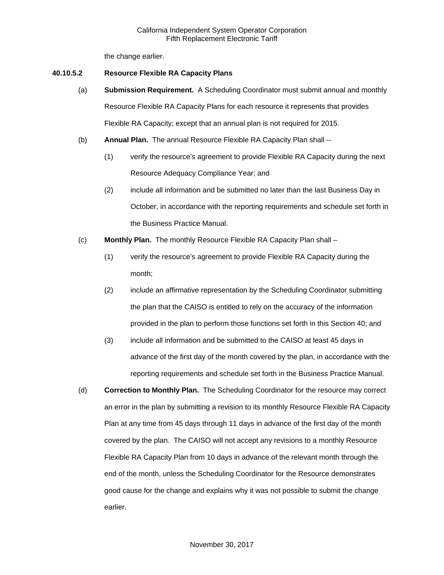the change earlier.

#### **40.10.5.2 Resource Flexible RA Capacity Plans**

- (a) **Submission Requirement.** A Scheduling Coordinator must submit annual and monthly Resource Flexible RA Capacity Plans for each resource it represents that provides Flexible RA Capacity; except that an annual plan is not required for 2015.
- (b) **Annual Plan.** The annual Resource Flexible RA Capacity Plan shall --
	- (1) verify the resource's agreement to provide Flexible RA Capacity during the next Resource Adequacy Compliance Year; and
	- (2) include all information and be submitted no later than the last Business Day in October, in accordance with the reporting requirements and schedule set forth in the Business Practice Manual.
- (c) **Monthly Plan.** The monthly Resource Flexible RA Capacity Plan shall
	- (1) verify the resource's agreement to provide Flexible RA Capacity during the month;
	- (2) include an affirmative representation by the Scheduling Coordinator submitting the plan that the CAISO is entitled to rely on the accuracy of the information provided in the plan to perform those functions set forth in this Section 40; and
	- (3) include all information and be submitted to the CAISO at least 45 days in advance of the first day of the month covered by the plan, in accordance with the reporting requirements and schedule set forth in the Business Practice Manual.
- (d) **Correction to Monthly Plan.** The Scheduling Coordinator for the resource may correct an error in the plan by submitting a revision to its monthly Resource Flexible RA Capacity Plan at any time from 45 days through 11 days in advance of the first day of the month covered by the plan. The CAISO will not accept any revisions to a monthly Resource Flexible RA Capacity Plan from 10 days in advance of the relevant month through the end of the month, unless the Scheduling Coordinator for the Resource demonstrates good cause for the change and explains why it was not possible to submit the change earlier.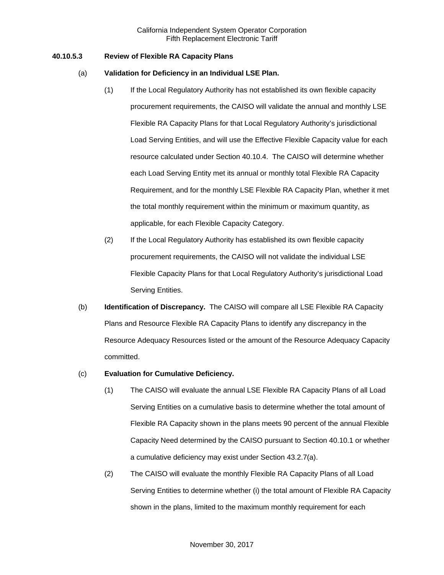## **40.10.5.3 Review of Flexible RA Capacity Plans**

### (a) **Validation for Deficiency in an Individual LSE Plan.**

- (1) If the Local Regulatory Authority has not established its own flexible capacity procurement requirements, the CAISO will validate the annual and monthly LSE Flexible RA Capacity Plans for that Local Regulatory Authority's jurisdictional Load Serving Entities, and will use the Effective Flexible Capacity value for each resource calculated under Section 40.10.4. The CAISO will determine whether each Load Serving Entity met its annual or monthly total Flexible RA Capacity Requirement, and for the monthly LSE Flexible RA Capacity Plan, whether it met the total monthly requirement within the minimum or maximum quantity, as applicable, for each Flexible Capacity Category.
- (2) If the Local Regulatory Authority has established its own flexible capacity procurement requirements, the CAISO will not validate the individual LSE Flexible Capacity Plans for that Local Regulatory Authority's jurisdictional Load Serving Entities.
- (b) **Identification of Discrepancy.** The CAISO will compare all LSE Flexible RA Capacity Plans and Resource Flexible RA Capacity Plans to identify any discrepancy in the Resource Adequacy Resources listed or the amount of the Resource Adequacy Capacity committed.

### (c) **Evaluation for Cumulative Deficiency.**

- (1) The CAISO will evaluate the annual LSE Flexible RA Capacity Plans of all Load Serving Entities on a cumulative basis to determine whether the total amount of Flexible RA Capacity shown in the plans meets 90 percent of the annual Flexible Capacity Need determined by the CAISO pursuant to Section 40.10.1 or whether a cumulative deficiency may exist under Section 43.2.7(a).
- (2) The CAISO will evaluate the monthly Flexible RA Capacity Plans of all Load Serving Entities to determine whether (i) the total amount of Flexible RA Capacity shown in the plans, limited to the maximum monthly requirement for each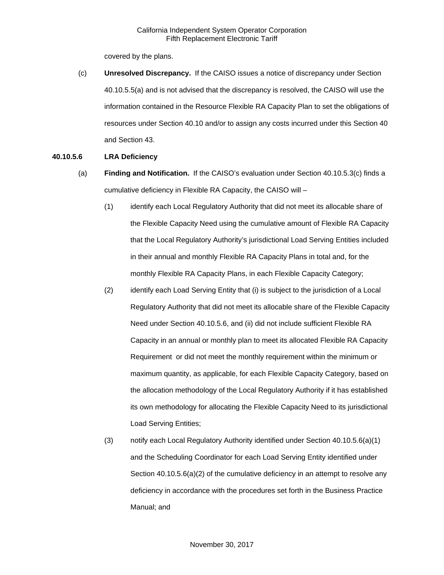covered by the plans.

(c) **Unresolved Discrepancy.** If the CAISO issues a notice of discrepancy under Section 40.10.5.5(a) and is not advised that the discrepancy is resolved, the CAISO will use the information contained in the Resource Flexible RA Capacity Plan to set the obligations of resources under Section 40.10 and/or to assign any costs incurred under this Section 40 and Section 43.

## **40.10.5.6 LRA Deficiency**

- (a) **Finding and Notification.** If the CAISO's evaluation under Section 40.10.5.3(c) finds a cumulative deficiency in Flexible RA Capacity, the CAISO will –
	- (1) identify each Local Regulatory Authority that did not meet its allocable share of the Flexible Capacity Need using the cumulative amount of Flexible RA Capacity that the Local Regulatory Authority's jurisdictional Load Serving Entities included in their annual and monthly Flexible RA Capacity Plans in total and, for the monthly Flexible RA Capacity Plans, in each Flexible Capacity Category;
	- (2) identify each Load Serving Entity that (i) is subject to the jurisdiction of a Local Regulatory Authority that did not meet its allocable share of the Flexible Capacity Need under Section 40.10.5.6, and (ii) did not include sufficient Flexible RA Capacity in an annual or monthly plan to meet its allocated Flexible RA Capacity Requirement or did not meet the monthly requirement within the minimum or maximum quantity, as applicable, for each Flexible Capacity Category, based on the allocation methodology of the Local Regulatory Authority if it has established its own methodology for allocating the Flexible Capacity Need to its jurisdictional Load Serving Entities;
	- (3) notify each Local Regulatory Authority identified under Section 40.10.5.6(a)(1) and the Scheduling Coordinator for each Load Serving Entity identified under Section 40.10.5.6(a)(2) of the cumulative deficiency in an attempt to resolve any deficiency in accordance with the procedures set forth in the Business Practice Manual; and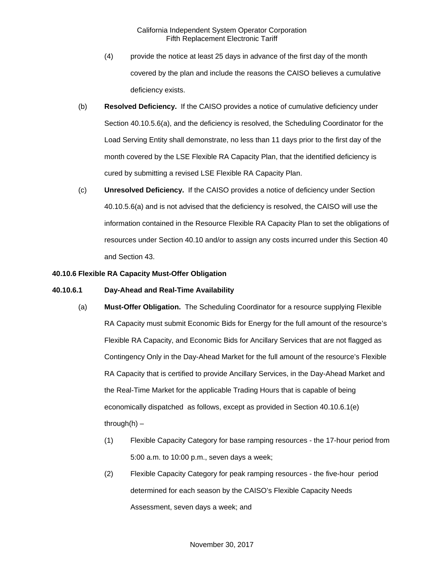- (4) provide the notice at least 25 days in advance of the first day of the month covered by the plan and include the reasons the CAISO believes a cumulative deficiency exists.
- (b) **Resolved Deficiency.** If the CAISO provides a notice of cumulative deficiency under Section 40.10.5.6(a), and the deficiency is resolved, the Scheduling Coordinator for the Load Serving Entity shall demonstrate, no less than 11 days prior to the first day of the month covered by the LSE Flexible RA Capacity Plan, that the identified deficiency is cured by submitting a revised LSE Flexible RA Capacity Plan.
- (c) **Unresolved Deficiency.** If the CAISO provides a notice of deficiency under Section 40.10.5.6(a) and is not advised that the deficiency is resolved, the CAISO will use the information contained in the Resource Flexible RA Capacity Plan to set the obligations of resources under Section 40.10 and/or to assign any costs incurred under this Section 40 and Section 43.

## **40.10.6 Flexible RA Capacity Must-Offer Obligation**

### **40.10.6.1 Day-Ahead and Real-Time Availability**

- (a) **Must-Offer Obligation.** The Scheduling Coordinator for a resource supplying Flexible RA Capacity must submit Economic Bids for Energy for the full amount of the resource's Flexible RA Capacity, and Economic Bids for Ancillary Services that are not flagged as Contingency Only in the Day-Ahead Market for the full amount of the resource's Flexible RA Capacity that is certified to provide Ancillary Services, in the Day-Ahead Market and the Real-Time Market for the applicable Trading Hours that is capable of being economically dispatched as follows, except as provided in Section 40.10.6.1(e) through $(h)$  –
	- (1) Flexible Capacity Category for base ramping resources the 17-hour period from 5:00 a.m. to 10:00 p.m., seven days a week;
	- (2) Flexible Capacity Category for peak ramping resources the five-hour period determined for each season by the CAISO's Flexible Capacity Needs Assessment, seven days a week; and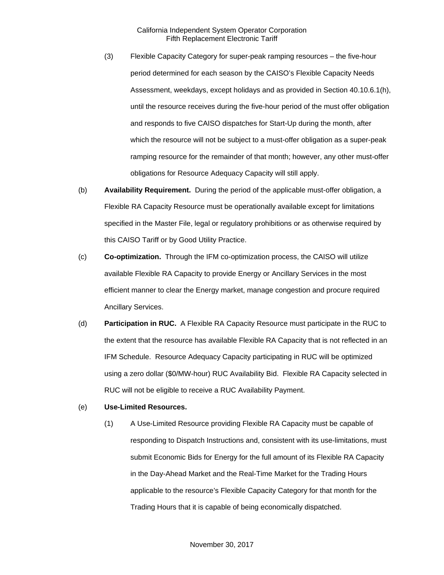- (3) Flexible Capacity Category for super-peak ramping resources the five-hour period determined for each season by the CAISO's Flexible Capacity Needs Assessment, weekdays, except holidays and as provided in Section 40.10.6.1(h), until the resource receives during the five-hour period of the must offer obligation and responds to five CAISO dispatches for Start-Up during the month, after which the resource will not be subject to a must-offer obligation as a super-peak ramping resource for the remainder of that month; however, any other must-offer obligations for Resource Adequacy Capacity will still apply.
- (b) **Availability Requirement.** During the period of the applicable must-offer obligation, a Flexible RA Capacity Resource must be operationally available except for limitations specified in the Master File, legal or regulatory prohibitions or as otherwise required by this CAISO Tariff or by Good Utility Practice.
- (c) **Co-optimization.** Through the IFM co-optimization process, the CAISO will utilize available Flexible RA Capacity to provide Energy or Ancillary Services in the most efficient manner to clear the Energy market, manage congestion and procure required Ancillary Services.
- (d) **Participation in RUC.** A Flexible RA Capacity Resource must participate in the RUC to the extent that the resource has available Flexible RA Capacity that is not reflected in an IFM Schedule. Resource Adequacy Capacity participating in RUC will be optimized using a zero dollar (\$0/MW-hour) RUC Availability Bid. Flexible RA Capacity selected in RUC will not be eligible to receive a RUC Availability Payment.
- (e) **Use-Limited Resources.**
	- (1) A Use-Limited Resource providing Flexible RA Capacity must be capable of responding to Dispatch Instructions and, consistent with its use-limitations, must submit Economic Bids for Energy for the full amount of its Flexible RA Capacity in the Day-Ahead Market and the Real-Time Market for the Trading Hours applicable to the resource's Flexible Capacity Category for that month for the Trading Hours that it is capable of being economically dispatched.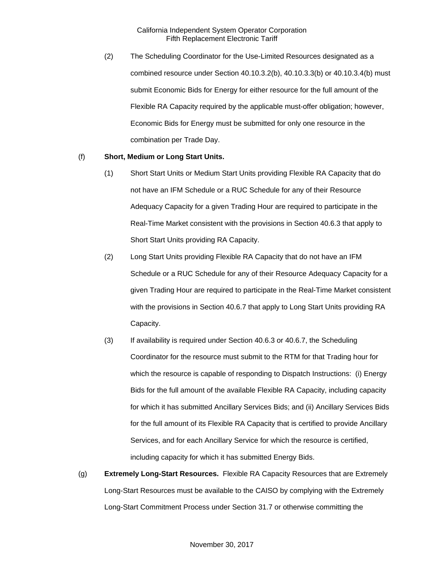(2) The Scheduling Coordinator for the Use-Limited Resources designated as a combined resource under Section 40.10.3.2(b), 40.10.3.3(b) or 40.10.3.4(b) must submit Economic Bids for Energy for either resource for the full amount of the Flexible RA Capacity required by the applicable must-offer obligation; however, Economic Bids for Energy must be submitted for only one resource in the combination per Trade Day.

## (f) **Short, Medium or Long Start Units.**

- (1) Short Start Units or Medium Start Units providing Flexible RA Capacity that do not have an IFM Schedule or a RUC Schedule for any of their Resource Adequacy Capacity for a given Trading Hour are required to participate in the Real-Time Market consistent with the provisions in Section 40.6.3 that apply to Short Start Units providing RA Capacity.
- (2) Long Start Units providing Flexible RA Capacity that do not have an IFM Schedule or a RUC Schedule for any of their Resource Adequacy Capacity for a given Trading Hour are required to participate in the Real-Time Market consistent with the provisions in Section 40.6.7 that apply to Long Start Units providing RA Capacity.
- (3) If availability is required under Section 40.6.3 or 40.6.7, the Scheduling Coordinator for the resource must submit to the RTM for that Trading hour for which the resource is capable of responding to Dispatch Instructions: (i) Energy Bids for the full amount of the available Flexible RA Capacity, including capacity for which it has submitted Ancillary Services Bids; and (ii) Ancillary Services Bids for the full amount of its Flexible RA Capacity that is certified to provide Ancillary Services, and for each Ancillary Service for which the resource is certified, including capacity for which it has submitted Energy Bids.
- (g) **Extremely Long-Start Resources.** Flexible RA Capacity Resources that are Extremely Long-Start Resources must be available to the CAISO by complying with the Extremely Long-Start Commitment Process under Section 31.7 or otherwise committing the